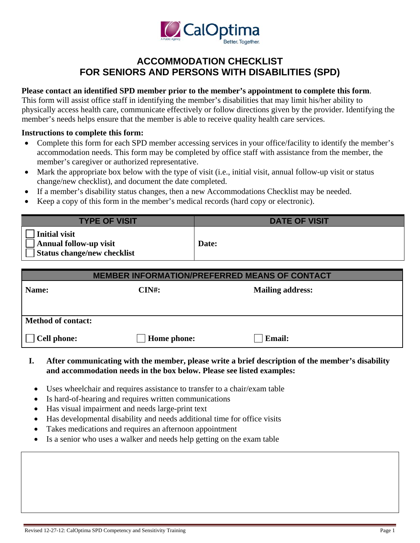

## **FOR SENIORS AND PERSONS WITH DISABILITIES (SPD)ACCOMMODATION CHECKLIST**

## **Please contact an identified SPD member prior to the member's appointment to complete this form**.

 member's needs helps ensure that the member is able to receive quality health care services.This form will assist office staff in identifying the member's disabilities that may limit his/her ability to physically access health care, communicate effectively or follow directions given by the provider. Identifying the

## **Instructions to complete this form:**

- $\bullet$ Complete this form for each SPD member accessing services in your office/facility to identify the member's accommodation needs. This form may be completed by office staff with assistance from the member, the member's caregiver or authorized representative.
- $\bullet$  change/new checklist), and document the date completed.Mark the appropriate box below with the type of visit (i.e., initial visit, annual follow-up visit or status
- If a member's disability status changes, then a new Accommodations Checklist may be needed.
- Keep a copy of this form in the member's medical records (hard copy or electronic).

| <b>TYPE OF VISIT</b>                                                   | <b>DATE OF VISIT</b> |
|------------------------------------------------------------------------|----------------------|
| Initial visit<br>Annual follow-up visit<br>Status change/new checklist | Date:                |

## **Cell phone:** Name: CIN#: CIN#: Mailing address: **MEMBER INFORMATION/PREFERRED MEANS OF CONTACT Method of contact:**  Home phone: **Cell Email:**

- $\mathbf{L}$ **I.After communicating with the member, please write a brief description of the member's disability and accommodation needs in the box below. Please see listed examples:** 
	- Uses wheelchair and requires assistance to transfer to a chair/exam table
	- Is hard-of-hearing and requires written communications
	- Has visual impairment and needs large-print text
	- Has developmental disability and needs additional time for office visits
	- Takes medications and requires an afternoon appointment
- Is a senior who uses a walker and needs help getting on the exam table Is a senior who uses a walker and needs help getting on the exam table<br>Revised 12-27-12: CalOptima SPD Competency and Sensitivity Training<br>Page 1